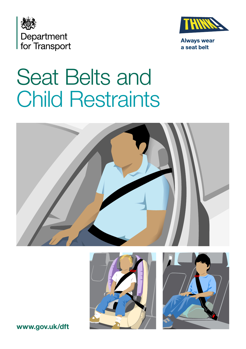



**Always wear** a seat belt

# Seat Belts and Child Restraints







**[www.gov.uk/dft](https://www.gov.uk/dft)**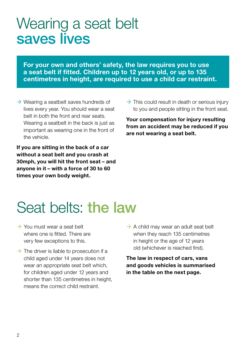### Wearing a seat belt saves lives

**For your own and others' safety, the law requires you to use a seat belt if fitted. Children up to 12 years old, or up to 135 centimetres in height, are required to use a child car restraint.**

 $\rightarrow$  Wearing a seatbelt saves hundreds of lives every year. You should wear a seat belt in both the front and rear seats. Wearing a seatbelt in the back is just as important as wearing one in the front of the vehicle.

**If you are sitting in the back of a car without a seat belt and you crash at 30mph, you will hit the front seat – and anyone in it – with a force of 30 to 60 times your own body weight.**

 $\rightarrow$  This could result in death or serious injury to you and people sitting in the front seat.

**Your compensation for injury resulting from an accident may be reduced if you are not wearing a seat belt.**

# Seat belts: the law

- $\rightarrow$  You must wear a seat belt where one is fitted. There are very few exceptions to this.
- $\rightarrow$  The driver is liable to prosecution if a child aged under 14 years does not wear an appropriate seat belt which, for children aged under 12 years and shorter than 135 centimetres in height, means the correct child restraint.
- $\rightarrow$  A child may wear an adult seat belt when they reach 135 centimetres in height or the age of 12 years old (whichever is reached first).

**The law in respect of cars, vans and goods vehicles is summarised in the table on the next page.**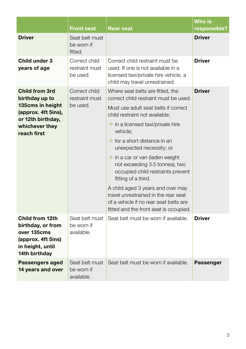|                                                                                                                                          | Front seat                                  | Rear seat                                                                                                                                                     | Who is<br>responsible? |
|------------------------------------------------------------------------------------------------------------------------------------------|---------------------------------------------|---------------------------------------------------------------------------------------------------------------------------------------------------------------|------------------------|
| <b>Driver</b>                                                                                                                            | Seat belt must<br>be worn if<br>fitted.     |                                                                                                                                                               | <b>Driver</b>          |
| Child under 3<br>years of age                                                                                                            | Correct child<br>restraint must<br>be used. | Correct child restraint must be<br>used. If one is not available in a<br>licensed taxi/private hire vehicle, a<br>child may travel unrestrained.              | <b>Driver</b>          |
| <b>Child from 3rd</b><br>birthday up to<br>135cms in height<br>(approx. 4ft 5ins),<br>or 12th birthday,<br>whichever they<br>reach first | Correct child<br>restraint must<br>be used. | Where seat belts are fitted, the<br>correct child restraint must be used.                                                                                     | <b>Driver</b>          |
|                                                                                                                                          |                                             | Must use adult seat belts if correct<br>child restraint not available:                                                                                        |                        |
|                                                                                                                                          |                                             | $\rightarrow$ in a licensed taxi/private hire<br>vehicle:                                                                                                     |                        |
|                                                                                                                                          |                                             | $\rightarrow$ for a short distance in an<br>unexpected necessity; or                                                                                          |                        |
|                                                                                                                                          |                                             | $\rightarrow$ in a car or van (laden weight<br>not exceeding 3.5 tonnes), two<br>occupied child restraints prevent<br>fitting of a third.                     |                        |
|                                                                                                                                          |                                             | A child aged 3 years and over may<br>travel unrestrained in the rear seat<br>of a vehicle if no rear seat belts are<br>fitted and the front seat is occupied. |                        |
| Child from 12th<br>birthday, or from<br>over 135cms<br>(approx. 4ft 5ins)<br>in height, until<br>14th birthday                           | Seat belt must<br>be worn if<br>available.  | Seat belt must be worn if available.                                                                                                                          | <b>Driver</b>          |
| Passengers aged<br>14 years and over                                                                                                     | Seat belt must<br>be worn if<br>available.  | Seat belt must be worn if available.                                                                                                                          | Passenger              |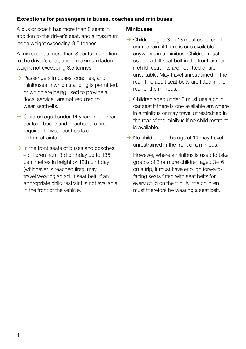#### **Exceptions for passengers in buses, coaches and minibuses**

A bus or coach has more than 8 seats in addition to the driver's seat, and a maximum laden weight exceeding 3.5 tonnes.

A minibus has more than 8 seats in addition to the driver's seat, and a maximum laden weight not exceeding 3.5 tonnes.

- $\rightarrow$  Passengers in buses, coaches, and minibuses in which standing is permitted, or which are being used to provide a 'local service', are not required to wear seatbelts.
- $\rightarrow$  Children aged under 14 years in the rear seats of buses and coaches are not required to wear seat belts or child restraints.
- $\rightarrow$  In the front seats of buses and coaches – children from 3rd birthday up to 135 centimetres in height or 12th birthday (whichever is reached first), may travel wearing an adult seat belt, if an appropriate child restraint is not available in the front of the vehicle.

#### **Minibuses**

- $\rightarrow$  Children aged 3 to 13 must use a child car restraint if there is one available anywhere in a minibus. Children must use an adult seat belt in the front or rear if child restraints are not fitted or are unsuitable. May travel unrestrained in the rear if no adult seat belts are fitted in the rear of the minibus.
- $\rightarrow$  Children aged under 3 must use a child car seat if there is one available anywhere in a minibus or may travel unrestrained in the rear of the minibus if no child restraint is available.
- $\rightarrow$  No child under the age of 14 may travel unrestrained in the front of a minibus.
- $\rightarrow$  However, where a minibus is used to take groups of 3 or more children aged 3–16 on a trip, it must have enough forwardfacing seats fitted with seat belts for every child on the trip. All the children must therefore be wearing a seat belt.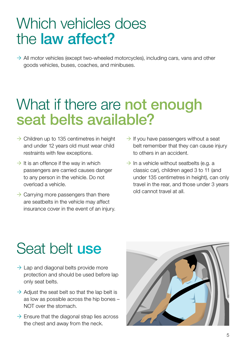### Which vehicles does the law affect?

 $\rightarrow$  All motor vehicles (except two-wheeled motorcycles), including cars, vans and other goods vehicles, buses, coaches, and minibuses.

### What if there are **not enough** seat belts available?

- $\rightarrow$  Children up to 135 centimetres in height and under 12 years old must wear child restraints with few exceptions.
- $\rightarrow$  It is an offence if the way in which passengers are carried causes danger to any person in the vehicle. Do not overload a vehicle.
- $\rightarrow$  Carrying more passengers than there are seatbelts in the vehicle may affect insurance cover in the event of an injury.
- $\rightarrow$  If you have passengers without a seat belt remember that they can cause injury to others in an accident.
- $\rightarrow$  In a vehicle without seatbelts (e.g. a classic car), children aged 3 to 11 (and under 135 centimetres in height), can only travel in the rear, and those under 3 years old cannot travel at all.

## Seat belt use

- $\rightarrow$  Lap and diagonal belts provide more protection and should be used before lap only seat belts.
- $\rightarrow$  Adjust the seat belt so that the lap belt is as low as possible across the hip bones – NOT over the stomach.
- $\rightarrow$  Ensure that the diagonal strap lies across the chest and away from the neck.

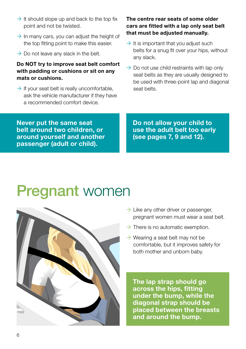- $\rightarrow$  It should slope up and back to the top fix point and not be twisted.
- $\rightarrow$  In many cars, you can adjust the height of the top fitting point to make this easier.
- $\rightarrow$  Do not leave any slack in the belt.

#### **Do NOT try to improve seat belt comfort with padding or cushions or sit on any mats or cushions.**

 $\rightarrow$  If your seat belt is really uncomfortable, ask the vehicle manufacturer if they have a recommended comfort device.

#### **The centre rear seats of some older cars are fitted with a lap only seat belt that must be adjusted manually.**

- $\rightarrow$  It is important that you adjust such belts for a snug fit over your hips, without any slack.
- $\rightarrow$  Do not use child restraints with lap only seat belts as they are usually designed to be used with three-point lap and diagonal seat belts.

**Never put the same seat belt around two children, or around yourself and another passenger (adult or child).**

**Do not allow your child to use the adult belt too early (see pages 7, 9 and 12).**

### **Pregnant women**



- $\rightarrow$  Like any other driver or passenger, pregnant women must wear a seat belt.
- $\rightarrow$  There is no automatic exemption.
- $\rightarrow$  Wearing a seat belt may not be comfortable, but it improves safety for both mother and unborn baby.

**The lap strap should go across the hips, fitting under the bump, while the diagonal strap should be placed between the breasts and around the bump.**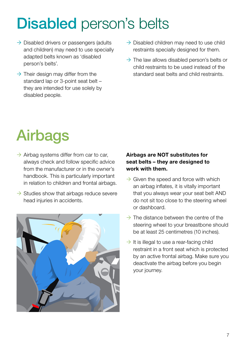# Disabled person's belts

- $\rightarrow$  Disabled drivers or passengers (adults) and children) may need to use specially adapted belts known as 'disabled person's belts'.
- $\rightarrow$  Their design may differ from the standard lap or 3-point seat belt – they are intended for use solely by disabled people.
- $\rightarrow$  Disabled children may need to use child restraints specially designed for them.
- $\rightarrow$  The law allows disabled person's belts or child restraints to be used instead of the standard seat belts and child restraints.

# **Airbags**

- $\rightarrow$  Airbag systems differ from car to car, always check and follow specific advice from the manufacturer or in the owner's handbook. This is particularly important in relation to children and frontal airbags.
- $\rightarrow$  Studies show that airbags reduce severe head injuries in accidents.



#### **Airbags are NOT substitutes for seat belts – they are designed to work with them.**

- $\rightarrow$  Given the speed and force with which an airbag inflates, it is vitally important that you always wear your seat belt AND do not sit too close to the steering wheel or dashboard.
- $\rightarrow$  The distance between the centre of the steering wheel to your breastbone should be at least 25 centimetres (10 inches).
- $\rightarrow$  It is illegal to use a rear-facing child restraint in a front seat which is protected by an active frontal airbag. Make sure you deactivate the airbag before you begin your journey.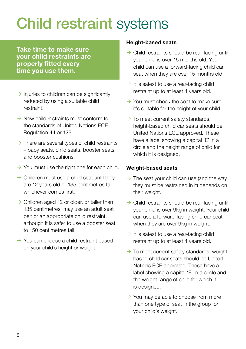# Child restraint systems

**Take time to make sure your child restraints are properly fitted every time you use them.**

- $\rightarrow$  Injuries to children can be significantly reduced by using a suitable child restraint.
- $\rightarrow$  New child restraints must conform to the standards of United Nations ECE Regulation 44 or 129.
- $\rightarrow$  There are several types of child restraints – baby seats, child seats, booster seats and booster cushions.
- $\rightarrow$  You must use the right one for each child.
- $\rightarrow$  Children must use a child seat until they are 12 years old or 135 centimetres tall, whichever comes first.
- $\rightarrow$  Children aged 12 or older, or taller than 135 centimetres, may use an adult seat belt or an appropriate child restraint, although it is safer to use a booster seat to 150 centimetres tall
- $\rightarrow$  You can choose a child restraint based on your child's height or weight.

#### **Height-based seats**

- $\rightarrow$  Child restraints should be rear-facing until your child is over 15 months old. Your child can use a forward-facing child car seat when they are over 15 months old.
- $\rightarrow$  It is safest to use a rear-facing child restraint up to at least 4 years old.
- $\rightarrow$  You must check the seat to make sure it's suitable for the height of your child.
- $\rightarrow$  To meet current safety standards. height-based child car seats should be United Nations ECE approved. These have a label showing a capital 'E' in a circle and the height range of child for which it is designed.

#### **Weight-based seats**

- $\rightarrow$  The seat your child can use (and the way they must be restrained in it) depends on their weight.
- $\rightarrow$  Child restraints should be rear-facing until your child is over 9kg in weight. Your child can use a forward-facing child car seat when they are over 9kg in weight.
- $\rightarrow$  It is safest to use a rear-facing child restraint up to at least 4 years old.
- $\rightarrow$  To meet current safety standards, weightbased child car seats should be United Nations ECE approved. These have a label showing a capital 'E' in a circle and the weight range of child for which it is designed.
- $\rightarrow$  You may be able to choose from more than one type of seat in the group for your child's weight.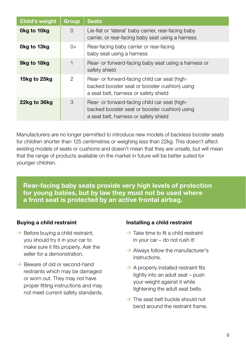| <b>Child's weight</b> | Group    | <b>Seats</b>                                                                                                                            |
|-----------------------|----------|-----------------------------------------------------------------------------------------------------------------------------------------|
| 0kg to 10kg           | $\Omega$ | Lie-flat or 'lateral' baby carrier, rear-facing baby<br>carrier, or rear-facing baby seat using a harness                               |
| 0kg to 13kg           | $0+$     | Rear-facing baby carrier or rear-facing<br>baby seat using a harness                                                                    |
| 9kg to 18kg           |          | Rear- or forward-facing baby seat using a harness or<br>safety shield                                                                   |
| 15kg to 25kg          | 2        | Rear- or forward-facing child car seat (high-<br>backed booster seat or booster cushion) using<br>a seat belt, harness or safety shield |
| 22kg to 36kg          | 3        | Rear- or forward-facing child car seat (high-<br>backed booster seat or booster cushion) using<br>a seat belt, harness or safety shield |

Manufacturers are no longer permitted to introduce new models of backless booster seats for children shorter than 125 centimetres or weighing less than 22kg. This doesn't affect existing models of seats or cushions and doesn't mean that they are unsafe, but will mean that the range of products available on the market in future will be better suited for younger children.

**Rear-facing baby seats provide very high levels of protection for young babies, but by law they must not be used where a front seat is protected by an active frontal airbag.**

#### **Buying a child restraint**

- $\rightarrow$  Before buying a child restraint, you should try it in your car to make sure it fits properly. Ask the seller for a demonstration.
- $\rightarrow$  Beware of old or second-hand restraints which may be damaged or worn out. They may not have proper fitting instructions and may not meet current safety standards.

#### **Installing a child restraint**

- $\rightarrow$  Take time to fit a child restraint in your car – do not rush it!
- $\rightarrow$  Always follow the manufacturer's instructions.
- $\rightarrow$  A properly installed restraint fits tightly into an adult seat – push your weight against it while tightening the adult seat belts.
- $\rightarrow$  The seat belt buckle should not bend around the restraint frame.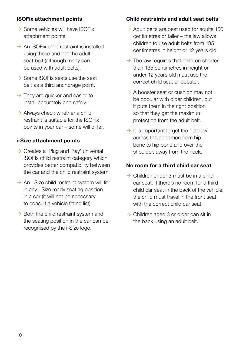#### **ISOFix attachment points**

- $\rightarrow$  Some vehicles will have ISOFix attachment points.
- $\rightarrow$  An ISOFix child restraint is installed using these and not the adult seat belt (although many can be used with adult belts).
- $\rightarrow$  Some ISOFix seats use the seat belt as a third anchorage point.
- $\rightarrow$  They are quicker and easier to install accurately and safely.
- $\rightarrow$  Always check whether a child restraint is suitable for the ISOFix points in your car – some will differ.

#### **i-Size attachment points**

- $\rightarrow$  Creates a 'Plug and Play' universal ISOFix child restraint category which provides better compatibility between the car and the child restraint system.
- $\rightarrow$  An i-Size child restraint system will fit in any i-Size ready seating position in a car (it will not be necessary to consult a vehicle fitting list).
- $\rightarrow$  Both the child restraint system and the seating position in the car can be recognised by the i-Size logo.

#### **Child restraints and adult seat belts**

- $\rightarrow$  Adult belts are best used for adults 150 centimetres or taller – the law allows children to use adult belts from 135 centimetres in height or 12 years old.
- $\rightarrow$  The law requires that children shorter than 135 centimetres in height or under 12 years old must use the correct child seat or booster.
- $\rightarrow$  A booster seat or cushion may not be popular with older children, but it puts them in the right position so that they get the maximum protection from the adult belt.
- $\rightarrow$  It is important to get the belt low across the abdomen from hip bone to hip bone and over the shoulder, away from the neck.

#### **No room for a third child car seat**

- $\rightarrow$  Children under 3 must be in a child car seat. If there's no room for a third child car seat in the back of the vehicle, the child must travel in the front seat with the correct child car seat.
- $\rightarrow$  Children aged 3 or older can sit in the back using an adult belt.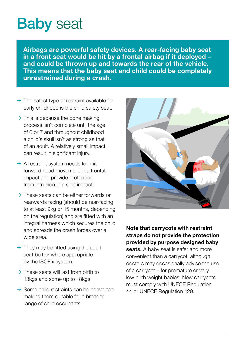# **Baby** seat

**Airbags are powerful safety devices. A rear-facing baby seat in a front seat would be hit by a frontal airbag if it deployed – and could be thrown up and towards the rear of the vehicle. This means that the baby seat and child could be completely unrestrained during a crash.**

- $\rightarrow$  The safest type of restraint available for early childhood is the child safety seat.
- $\rightarrow$  This is because the bone making process isn't complete until the age of 6 or 7 and throughout childhood a child's skull isn't as strong as that of an adult. A relatively small impact can result in significant injury.
- $\rightarrow$  A restraint system needs to limit forward head movement in a frontal impact and provide protection from intrusion in a side impact.
- $\rightarrow$  These seats can be either forwards or rearwards facing (should be rear-facing to at least 9kg or 15 months, depending on the regulation) and are fitted with an integral harness which secures the child and spreads the crash forces over a wide area.
- $\rightarrow$  They may be fitted using the adult seat belt or where appropriate by the ISOFix system.
- $\rightarrow$  These seats will last from birth to 13kgs and some up to 18kgs.
- $\rightarrow$  Some child restraints can be converted making them suitable for a broader range of child occupants.



**Note that carrycots with restraint straps do not provide the protection provided by purpose designed baby seats.** A baby seat is safer and more convenient than a carrycot, although doctors may occasionally advise the use of a carrycot – for premature or very low birth weight babies. New carrycots must comply with UNECE Regulation 44 or UNECE Regulation 129.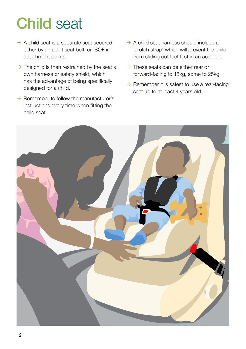# Child seat

- $\rightarrow$  A child seat is a separate seat secured either by an adult seat belt, or ISOFix attachment points.
- $\rightarrow$  The child is then restrained by the seat's own harness or safety shield, which has the advantage of being specifically designed for a child.
- $\rightarrow$  Remember to follow the manufacturer's instructions every time when fitting the child seat.
- $\rightarrow$  A child seat harness should include a 'crotch strap' which will prevent the child from sliding out feet first in an accident.
- $\rightarrow$  These seats can be either rear or forward-facing to 18kg, some to 25kg.
- $\rightarrow$  Remember it is safest to use a rear-facing seat up to at least 4 years old.

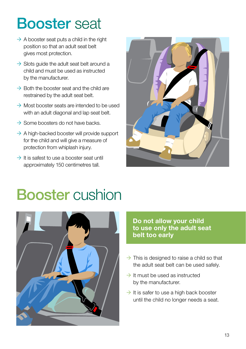### Booster seat

- $\rightarrow$  A booster seat puts a child in the right position so that an adult seat belt gives most protection.
- $\rightarrow$  Slots guide the adult seat belt around a child and must be used as instructed by the manufacturer.
- $\rightarrow$  Both the booster seat and the child are restrained by the adult seat belt.
- $\rightarrow$  Most booster seats are intended to be used with an adult diagonal and lap seat belt.
- $\rightarrow$  Some boosters do not have backs.
- $\rightarrow$  A high-backed booster will provide support for the child and will give a measure of protection from whiplash injury.
- $\rightarrow$  It is safest to use a booster seat until approximately 150 centimetres tall.



### Booster cushion



**Do not allow your child to use only the adult seat belt too early**

- $\rightarrow$  This is designed to raise a child so that the adult seat belt can be used safely.
- $\rightarrow$  It must be used as instructed by the manufacturer.
- $\rightarrow$  It is safer to use a high back booster until the child no longer needs a seat.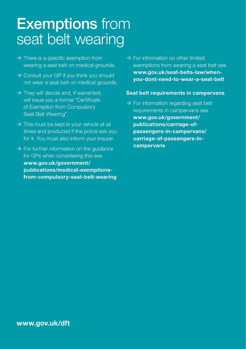### **Exemptions** from seat belt wearing

- $\rightarrow$  There is a specific exemption from wearing a seat belt on medical grounds.
- $\rightarrow$  Consult your GP if you think you should not wear a seat belt on medical grounds.
- $\rightarrow$  They will decide and, if warranted, will issue you a formal "Certificate of Exemption from Compulsory Seat Belt Wearing".
- $\rightarrow$  This must be kept in your vehicle at all times and produced if the police ask you for it. You must also inform your insurer.
- $\rightarrow$  For further information on the quidance for GPs when considering this see **[www.gov.uk/government/](http://www.gov.uk/government/publications/medical-exemptions-from-compulsory-seat-belt-wearing) [publications/medical-exemptions](http://www.gov.uk/government/publications/medical-exemptions-from-compulsory-seat-belt-wearing)[from-compulsory-seat-belt-wearing](http://www.gov.uk/government/publications/medical-exemptions-from-compulsory-seat-belt-wearing)**

 $\rightarrow$  For information on other limited exemptions from wearing a seat belt see **[www.gov.uk/seat-belts-law/when](http://www.gov.uk/seat-belts-law/when-you-dont-need-to-wear-a-seat-belt)[you-dont-need-to-wear-a-seat-belt](http://www.gov.uk/seat-belts-law/when-you-dont-need-to-wear-a-seat-belt)**

#### **Seat belt requirements in campervans**

 $\rightarrow$  For information regarding seat belt requirements in campervans see **[www.gov.uk/government/](http://www.gov.uk/government/publications/carriage-of-passengers-in-campervans/carriage-of-passengers-in-campervans) [publications/carriage-of](http://www.gov.uk/government/publications/carriage-of-passengers-in-campervans/carriage-of-passengers-in-campervans)[passengers-in-campervans/](http://www.gov.uk/government/publications/carriage-of-passengers-in-campervans/carriage-of-passengers-in-campervans) [carriage-of-passengers-in](http://www.gov.uk/government/publications/carriage-of-passengers-in-campervans/carriage-of-passengers-in-campervans)[campervans](http://www.gov.uk/government/publications/carriage-of-passengers-in-campervans/carriage-of-passengers-in-campervans)**

**[www.gov.uk/dft](https://www.gov.uk/dft)**